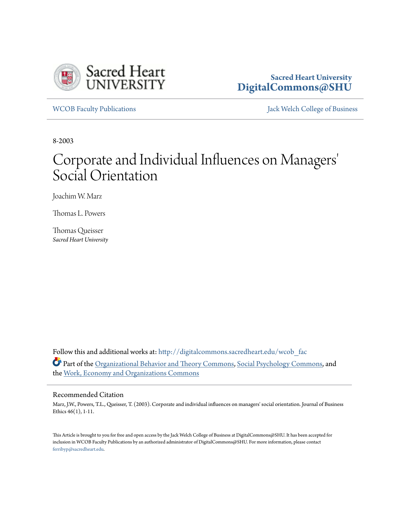

## **Sacred Heart University [DigitalCommons@SHU](http://digitalcommons.sacredheart.edu?utm_source=digitalcommons.sacredheart.edu%2Fwcob_fac%2F160&utm_medium=PDF&utm_campaign=PDFCoverPages)**

[WCOB Faculty Publications](http://digitalcommons.sacredheart.edu/wcob_fac?utm_source=digitalcommons.sacredheart.edu%2Fwcob_fac%2F160&utm_medium=PDF&utm_campaign=PDFCoverPages) [Jack Welch College of Business](http://digitalcommons.sacredheart.edu/wcob?utm_source=digitalcommons.sacredheart.edu%2Fwcob_fac%2F160&utm_medium=PDF&utm_campaign=PDFCoverPages)

8-2003

# Corporate and Individual Influences on Managers 'Social Orientation

Joachim W. Marz

Thomas L. Powers

Thomas Queisser *Sacred Heart University*

Follow this and additional works at: [http://digitalcommons.sacredheart.edu/wcob\\_fac](http://digitalcommons.sacredheart.edu/wcob_fac?utm_source=digitalcommons.sacredheart.edu%2Fwcob_fac%2F160&utm_medium=PDF&utm_campaign=PDFCoverPages) Part of the [Organizational Behavior and Theory Commons](http://network.bepress.com/hgg/discipline/639?utm_source=digitalcommons.sacredheart.edu%2Fwcob_fac%2F160&utm_medium=PDF&utm_campaign=PDFCoverPages), [Social Psychology Commons,](http://network.bepress.com/hgg/discipline/414?utm_source=digitalcommons.sacredheart.edu%2Fwcob_fac%2F160&utm_medium=PDF&utm_campaign=PDFCoverPages) and the [Work, Economy and Organizations Commons](http://network.bepress.com/hgg/discipline/433?utm_source=digitalcommons.sacredheart.edu%2Fwcob_fac%2F160&utm_medium=PDF&utm_campaign=PDFCoverPages)

#### Recommended Citation

Marz, J.W., Powers, T.L., Queisser, T. (2003). Corporate and individual influences on managers' social orientation. Journal of Business Ethics 46(1), 1-11.

This Article is brought to you for free and open access by the Jack Welch College of Business at DigitalCommons@SHU. It has been accepted for inclusion in WCOB Faculty Publications by an authorized administrator of DigitalCommons@SHU. For more information, please contact [ferribyp@sacredheart.edu](mailto:ferribyp@sacredheart.edu).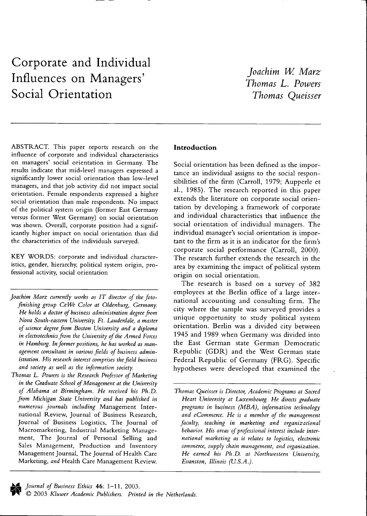## Corporate and Individual Influences on Managers' Social Orientation

*Joachim W. Marz Thomas L. Powers Thomas Queisser*

ABSTRACT. This paper reports research on the influence of corporate and individual characteristics on managers' social orientation in Germany. The results indicate that mid-level managers expressed a significantly lower social orientation than low-level managers, and that job activity did not impact social orientation. Female respondents expressed a higher social orientation than male respondents. No impact of the political system origin (former East Germany versus former West Germany) on social orientation was shown. Overall, corporate position had a significantly higher impact on social orientation than did the characteristics of the individuals surveyed.

KEY WORDS: corporate and individual characteristics, gender, hierarchy, political system origin, professional activity, social orientation

*Joachim Marz currently works as IT director of the fotofinishing group CeWe Color at Oldenburg, Germany. He holds a doctor of business administration degree from Nova South-eastern University, Ft. Lauderdale, a master of science degree from Boston University and a diploma in electrotechnics from the University of the Armed Forces in Hamburg. In former positions, he has worked as management consultant in various fields of business administration. His research interest comprises the field business and society as well as the information society.*

*Thomas L. Powers is the Research Professor of Marketing in the Graduate School of Management at the University of .Alabama at Birmingham. He received his Ph.D. from Michigan State University and has published in numerous journals including* Management International Review, Journal of Business Research, Journal of Business Logistics, The Journal of Macromarketing, Industrial Marketing Management, The Journal of Personal Selling and Sales Management, Production and Inventory Management Journal, The Journal of Health Care Marketing, *and* Health Care Management Review.

#### **Introduction**

Social orientation has been defined as the importance an individual assigns to the social responsibilities of the firm (Carroll, 1979; Aupperle et al., 1985). The research reported in this paper extends the literature on corporate social orientation by developing a framework of corporate and individual characteristics that influence the social orientation of individual managers. The individual manager's social orientation is important to the firm as it is an indicator for the firm's corporate social performance (Carroll, 2000). The research further extends the research in the area by examining the impact of political system origin on social orientation.

The research is based on a survey of 382 employees at the Berlin office of a large international accounting and consulting firm. The city where the sample was surveyed provides a unique opportunity to study political system orientation. Berlin was a divided city between 1945 and 1989 when Germany was divided into the East German state German Democratic Republic (GDR) and the West German state Federal Republic of Germany (FRG). Specific hypotheses were developed that examined the

*Thomas Queisser is Director, Academic Programs at Sacred Heart University at Luxembourg. He directs graduate programs in business (MBA), information technology and eCommerce. He is a member of the management faculty, teaching in marketing and organizational behavior. His areas of professional interest include international marketing as it relates to logistics, electronic commerce, supply chain management, and organization. He earned his Ph.D. at Northwestern University, Evanston, Illinois (U.S.A.).*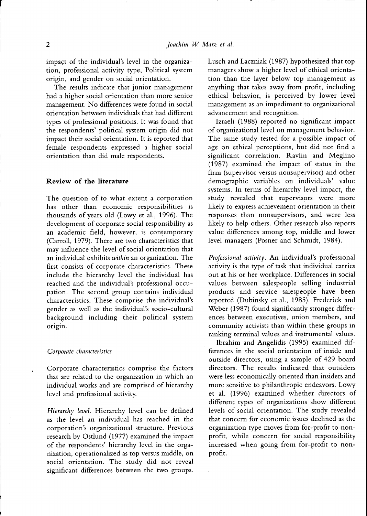impact of the individual's level in the organization, professional activity type. Political system origin, and gender on social orientation.

The results indicate that junior management had a higher social orientation than more senior management. No differences were found in social orientation between individuals that had different types of professional positions. It was found that the respondents' political system origin did not impact their social orientation. It is reported that female respondents expressed a higher social orientation than did male respondents.

#### **Review of the literature**

The question of to what extent a corporation has other than economic responsibilities is thousands of years old (Lowy et al., 1996). The development of corporate social responsibility as an academic field, however, is contemporary (Carroll, 1979). There are two characteristics that may influence the level of social orientation that an individual exhibits *within* an organization. The first consists of corporate characteristics. These include the hierarchy level the individual has reached and the individual's professional occupation. The second group contains individual characteristics. These comprise the individual's gender as well as the individual's socio-cultural background including their political system origin.

#### *Corporate characteristics*

Corporate characteristics comprise the factors that are related to the organization in which an individual works and are comprised of hierarchy level and professional activity.

*Hierarchy level.* Hierarchy level can be defined as the level an individual has reached in the corporation's organizational structure. Previous research by Ostlund (1977) examined the impact of the respondents' hierarchy level in the organization, operationalized as top versus middle, on social orientation. The study did not reveal significant differences between the two groups.

Lusch and Laczniak (1987) hypothesized that top managers show a higher level of ethical orientation than the layer below top management as anything that takes away from profit, including ethical behavior, is perceived by lower level management as an impediment to organizational advancement and recognition.

Izraeli (1988) reported no significant impact of organizational level on management behavior. The same study tested for a possible impact of age on ethical perceptions, but did not find a significant correlation. Ravlin and Meglino (1987) examined the impact of status in the firm (supervisor versus nonsupervisor) and other demographic variables on individuals' value systems. In terms of hierarchy level impact, the study revealed that supervisors were more likely to express achievement orientation in their responses than nonsupervisors, and were less likely to help others. Other research also reports value differences among top, middle and lower level managers (Posner and Schmidt, 1984).

*Professional activity.* An individual's professional activity is the type of task that individual carries out at his or her workplace. Differences in social values between salespeople selling industrial products and service salespeople have been reported (Dubinsky et al., 1985). Frederick and Weber (1987) found significantly stronger differences between executives, union members, and community activists than within these groups in ranking terminal values and instrumental values.

Ibrahim and Angelidis (1995) examined differences in the social orientation of inside and outside directors, using a sample of 429 board directors. The results indicated that outsiders were less economically oriented than insiders and more sensitive to philanthropic endeavors. Lowy et al. (1996) examined whether directors of different types of organizations show different levels of social orientation. The study revealed that concern for economic issues declined as the organization type moves from for-profit to nonprofit, while concern for social responsibility increased when going from for-profit to nonprofit.

 $\overline{2}$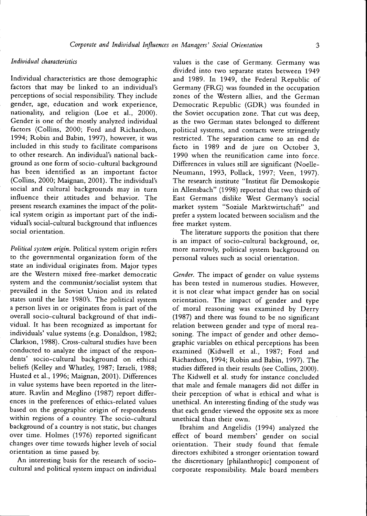#### *Individual characteristics*

Individual characteristics are those demographic factors that may be linked to an individual's perceptions of social responsibility. They include gender, age, education and work experience, nationality, and religion (Loe et al., 2000). Gender is one of the mostly analyzed individual factors (Collins, 2000; Ford and Richardson, 1994; Robin and Babin, 1997), however, it was included in this study to facilitate comparisons to other research. An individual's national background as one form of socio-cultural background has been identified as an important factor (Collins, 2000; Maignan, 2001). The individual's social and cultural backgrounds may in turn influence their attitudes and behavior. The present research examines the impact of the political system origin as important part of the individual's social-cultural background that influences social orientation.

*Political system origin.* Political system origin refers to the governmental organization form of the state an individual originates from. Major types are the Western mixed free-market democratic system and the communist/socialist system that prevailed in the Soviet Union and its related states until the late 198O's. The political system a person lives in or originates from is part of the overall socio-cultural background of that individual. It has been recognized as important for individuals' value systems (e.g. Donaldson, 1982; Clarkson, 1988). Cross-cultural studies have been conducted to analyze the impact of the respondents' socio-cultural background on ethical beliefs (Kelley and Whatley, 1987; Izraeli, 1988; Husted et al., 1996; Maignan, 2001). Differences in value systems have been reported in the literature. Ravlin and Meglino (1987) report differences in the preferences of ethics-related values based on the geographic origin of respondents within regions of a country. The socio-cultural background of a country is not static, but changes over time. Holmes (1976) reported significant changes over time towards higher levels of social orientation as time passed by.

An interesting basis for the research of sociocultural and political system impact on individual

values is the case of Germany. Germany was divided into two separate states between 1949 and 1989. In 1949, the Federal Republic of Germany (FRG) was founded in the occupation zones of the Western allies, and the German Democratic Republic (GDR) was founded in the Soviet occupation zone. That cut was deep, as the two German states belonged to different political systems, and contacts were stringently restricted. The separation came to an end de facto in 1989 and de jure on October 3, 1990 when the reunification came into force. Differences in values still are significant (Noelle-Neumann, 1993, Pollack, 1997; Veen, 1997). The research institute "Institut für Demoskopie in Allensbach" (1998) reported that two thirds of East Germans dislike West Germany's social market system "Soziale Marktwirtschaft" and prefer a system located between socialism and the free market system.

The literature supports the position that there is an impact of socio-cultural background, or, more narrowly, political system background on personal values such as social orientation.

*Cender.* The impact of gender on value systems has been tested in numerous studies. However, it is not clear what impact gender has on social orientation. The impact of gender and type of moral reasoning was examined by Derry (1987) and there was found to be no significant relation between gender and type of moral reasoning. The impact of gender and other demographic variables on ethical perceptions has been examined (Kidwell et al., 1987; Ford and Richardson, 1994; Robin and Babin, 1997). The studies differed in their results (see Collins, 2000). The Kidwell et al. study for instance concluded that male and female managers did not differ in their perception of what is ethical and what is unethical. An interesting finding of the study was that each gender viewed the opposite sex as more unethical than their own.

Ibrahim and Angelidis (1994) analyzed the effect of board members' gender on social orientation. Their study found that female directors exhibited a stronger orientation toward the discretionary [philanthropic] component of corporate responsibility. Male board members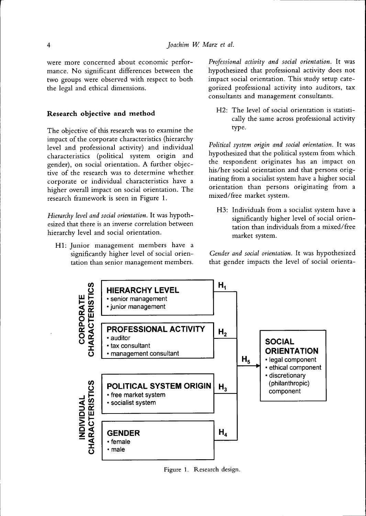were more concerned about economic performance. No significant differences between the two groups were observed with respect to both the legal and ethical dimensions.

#### **Research objective and method**

The objective of this research was to examine the impact of the corporate characteristics (hierarchy level and professional activity) and individual characteristics (political system origin and gender), on social orientation. A further objective of the research was to determine whether corporate or individual characteristics have a higher overall impact on social orientation. The research framework is seen in Figure 1.

*Hierarchy level and social orientation.* It was hypothesized that there is an inverse correlation between hierarchy level and social orientation.

HI: Junior management members have a significantly higher level of social orientation than senior management members. *Professional activity and social orientation.* It was hypothesized that professional activity does not impact social orientation. This study setup categorized professional activity into auditors, tax consultants and management consultants.

H2: The level of social orientation is statistically the same across professional activity type.

*Political system origin and social orientation.* It was hypothesized that the political system from which the respondent originates has an impact on his/her social orientation and that persons originating from a socialist system have a higher social orientation than persons originating from a mixed/free market system.

H3: Individuals from a socialist system have a significantly higher level of social orientation than individuals from a mixed/free market system.

*Cender and social orientation.* It was hypothesized that gender impacts the level of social orienta-



Figure 1. Research design.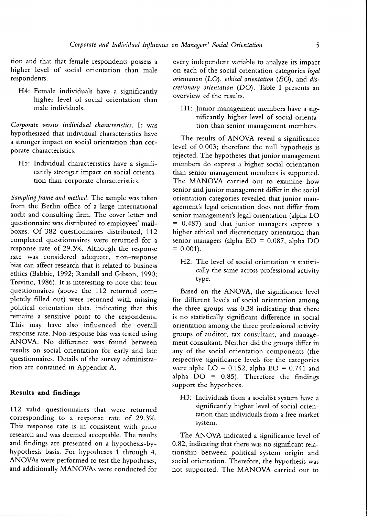tion and that that female respondents possess a higher level of social orientation than male respondents.

H4: Female individuals have a significantly higher level of social orientation than male individuals.

*Corporate versus individual characteristics.* It was hypothesized that individual characteristics have a stronger impact on social orientation than corporate characteristics.

H5: Individual characteristics have a significantly stronger impact on social orientation than corporate characteristics.

*Sampling frame and method.* The sample was taken from the Berlin office of a large international audit and consulting firm. The cover letter and questionnaire was distributed to employees' mailboxes. Of 382 questionnaires distributed, 112 completed questionnaires were returned for a response rate of 29.3%. Although the response rate was considered adequate, non-response bias can affect research that is related to business ethics (Babbie, 1992; Randall and Gibson, 1990; Trevino, 1986). It is interesting to note that four questionnaires (above the 112 returned completely filled out) were returned with missing political orientation data, indicating that this remains a sensitive point to the respondents. This may have also influenced the overall response rate. Non-response bias was tested using ANOVA. No difference was found between results on social orientation for early and late questionnaires. Details of the survey administration are contained in Appendix A.

#### **Results and findings**

112 valid questionnaires that were returned corresponding to a response rate of 29.3%. This response rate is in consistent with prior research and was deemed acceptable. The results and findings are presented on a hypothesis-byhypothesis basis. For hypotheses 1 through 4, ANOVAs were performed to test the hypotheses, and additionally MANOVAs were conducted for every independent variable to analyze its impact on each of the social orientation categories *legal orientation {LO), ethical orientation {EO),* and *discretionary orientation {DO).* Table I presents an overview of the results.

HI: Junior management members have a significantly higher level of social orientation than senior management members.

The results of ANOVA reveal a significance level of 0.003; therefore the null hypothesis is rejected. The hypotheses that junior management members do express a higher social orientation than senior management members is supported. The MANOVA carried out to examine how senior and junior management differ in the social orientation categories revealed that junior management's legal orientation does not differ from senior management's legal orientation (alpha LO = 0.487) and that junior managers express a higher ethical and discretionary orientation than senior managers (alpha  $EO = 0.087$ , alpha DO  $= 0.001$ .

H2: The level of social orientation is statistically the same across professional activity type.

Based on the ANOVA, the significance level for different levels of social orientation among the three groups was 0.38 indicating that there is no statistically significant difference in social orientation among the three professional activity groups of auditor, tax consultant, and management consultant. Neither did the groups differ in any of the social orientation components (the respective significance levels for the categories were alpha  $LO = 0.152$ , alpha  $EO = 0.741$  and alpha  $DO = 0.85$ . Therefore the findings support the hypothesis.

H3: Individuals from a socialist system have a significantly higher level of social orientation than individuals from a free market system.

The ANOVA indicated a significance level of 0.82, indicating that there was no significant relationship between political system origin and social orientation. Therefore, the hypothesis was not supported. The MANOVA carried out to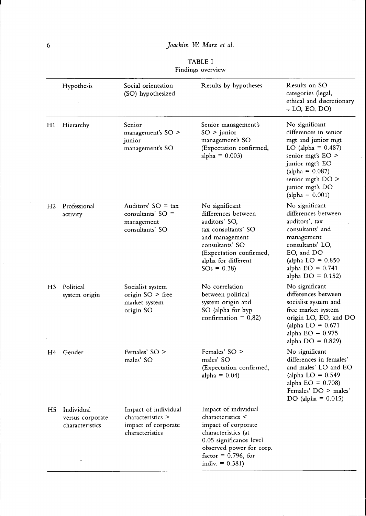### *Joachim W. Marz et al.*

TABLE I Findings overview

|                | Hypothesis                                        | Social orientation<br>(SO) hypothesized                                             | Results by hypotheses                                                                                                                                                                          | Results on SO<br>categories (legal,<br>ethical and discretionary<br>$-$ LO, EO, DO)                                                                                                                                |
|----------------|---------------------------------------------------|-------------------------------------------------------------------------------------|------------------------------------------------------------------------------------------------------------------------------------------------------------------------------------------------|--------------------------------------------------------------------------------------------------------------------------------------------------------------------------------------------------------------------|
| H1             | Hierarchy                                         | Senior<br>management's SO ><br>junior<br>management's SO                            | Senior management's<br>$SO >$ junior<br>management's SO<br>(Expectation confirmed,<br>alpha = $0.003$ )                                                                                        | No significant<br>differences in senior<br>mgt and junior mgt<br>LO (alpha = $0.487$ )<br>senior mgt's $EO$ ><br>junior mgt's EO<br>$(alpha = 0.087)$<br>senior mgt's DO ><br>junior mgt's DO<br>$(alpha = 0.001)$ |
| H <sub>2</sub> | Professional<br>activity                          | Auditors' $SO = \text{tax}$<br>consultants' $SO =$<br>management<br>consultants' SO | No significant<br>differences between<br>auditors' SO,<br>tax consultants' SO<br>and management<br>consultants' SO<br>(Expectation confirmed,<br>alpha for different<br>$SOs = 0.38$           | No significant<br>differences between<br>auditors', tax<br>consultants' and<br>management<br>consultants' LO,<br>EO, and DO<br>(alpha $LO = 0.850$<br>alpha $EO = 0.741$<br>alpha $DO = 0.152$                     |
| H <sub>3</sub> | Political<br>system origin                        | Socialist system<br>origin $SO$ > free<br>market system<br>origin SO                | No correlation<br>between political<br>system origin and<br>SO (alpha for hyp<br>confirmation = $0,82$ )                                                                                       | No significant<br>differences between<br>socialist system and<br>free market system<br>origin LO, EO, and DO<br>(alpha LO = $0.671$<br>alpha $EO = 0.975$<br>alpha $DO = 0.829$                                    |
| H4             | Gender                                            | Females' SO ><br>males' SO                                                          | Females' SO ><br>males' SO<br>(Expectation confirmed,<br>alpha = $0.04$ )                                                                                                                      | No significant<br>differences in females'<br>and males' LO and EO<br>(alpha LO = $0.549$<br>alpha $EO = 0.708$ )<br>Females' DO > males'<br>DO (alpha = $0.015$ )                                                  |
| H <sub>5</sub> | Individual<br>versus corporate<br>characteristics | Impact of individual<br>characteristics ><br>impact of corporate<br>characteristics | Impact of individual<br>characteristics <<br>impact of corporate<br>characteristics (at<br>0.05 significance level<br>observed power for corp.<br>$factor = 0.796$ , for<br>indiv. $= 0.381$ ) |                                                                                                                                                                                                                    |

 $\ddot{\phantom{a}}$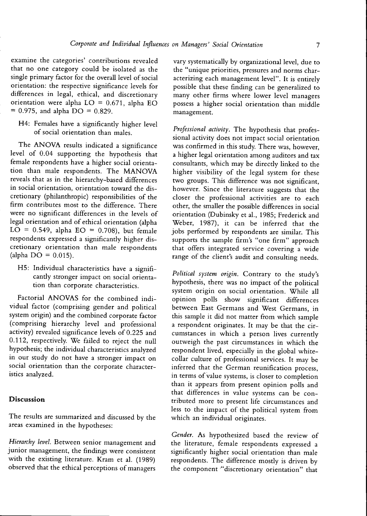examine the categories' contributions revealed that no one category could be isolated as the single primary factor for the overall level of social orientation: the respective significance levels for differences in legal, ethical, and discretionary orientation were alpha LO = 0.671, alpha EO  $= 0.975$ , and alpha  $\overline{DO} = 0.829$ .

H4: Females have a significantly higher level of social orientation than males.

The ANOVA results indicated a significance level of 0.04 supporting the hypothesis that female respondents have a higher social orientation than male respondents. The MANOVA reveals that as in the hierarchy-based differences in social orientation, orientation toward the discretionary (philanthropic) responsibilities of the firm contributes most to the difference. There were no significant differences in the levels of legal orientation and of ethical orientation (alpha  $LO = 0.549$ , alpha  $EO = 0.708$ ), but female respondents expressed a significantly higher discretionary orientation than male respondents (alpha  $\overline{DO} = 0.015$ ).

H5: Individual characteristics have a significantly stronger impact on social orientation than corporate characteristics.

Factorial ANOVAS for the combined individual factor (comprising gender and political system origin) and the combined corporate factor (comprising hierarchy level and professional activity) revealed significance levels of 0.225 and 0.112, respectively. We failed to reject the null hypothesis; the individual characteristics analyzed in our study do not have a stronger impact on social orientation than the corporate characteristics analyzed.

#### **Discussion**

The results are summarized and discussed by the areas examined in the hypotheses:

*Hierarchy level.* Between senior management and junior management, the findings were consistent with the existing literature. Kram et al. (1989) observed that the ethical perceptions of managers

vary systematically by organizational level, due to the "unique priorities, pressures and norms characterizing each management level". It is entirely possible that these finding can be generalized to many other firms where lower level managers possess a higher social orientation than middle management.

*Professional activity.* The hypothesis that professional activity does not impact social orientation was confirmed in this study. There was, however, a higher legal orientation among auditors and tax consultants, which may be directly linked to the higher visibility of the legal system for these two groups. This difference was not significant, however. Since the literature suggests that the closer the professional activities are to each other, the smaller the possible differences in social orientation (Dubinsky et al., 1985; Frederick and Weber, 1987), it can be inferred that the jobs performed by respondents are similar. This supports the sample firm's "one firm" approach that offers integrated service covering a wide range of the client's audit and consulting needs.

*Political system origin.* Contrary to the study's hypothesis, there was no impact of the political system origin on social orientation. While all opinion polls show significant differences between East Germans and West Germans, in this sample it did not matter from which sample a respondent originates. It may be that the circumstances in which a person lives currently outweigh the past circumstances in which the respondent lived, especially in the global whitecollar culture of professional services. It may be inferred that the German reunification process, in terms of value systems, is closer to completion than it appears from present opinion polls and that differences in value systems can be contributed more to present life circumstances and less to the impact of the political system from which an individual originates.

*Gender.* As hypothesized based the review of the literature, female respondents expressed a significantly higher social orientation than male respondents. The difference mostly is driven by the component "discretionary orientation" that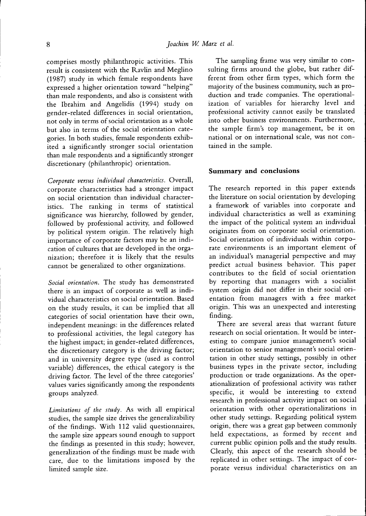comprises mostly philanthropic activities. This result is consistent with the Ravlin and Meglino (1987) study in which female respondents have expressed a higher orientation toward "helping" than male respondents, and also is consistent with the Ibrahim and Angelidis (1994) study on gender-related differences in social orientation, not only in terms of social orientation as a whole but also in terms of the social orientation categories. In both studies, female respondents exhibited a significantly stronger social orientation than male respondents and a significantly stronger discretionary (philanthropic) orientation.

*Corporate versus individual characteristics.* Overall, corporate characteristics had a stronger impact on social orientation than individual characteristics. The ranking in terms of statistical significance was hierarchy, followed by gender, followed by professional activity, and followed by political system origin. The relatively high importance of corporate factors may be an indication of cultures that are developed in the organization; therefore it is likely that the results cannot be generalized to other organizations.

*Social orientation.* The study has demonstrated there is an impact of corporate as well as individual characteristics on social orientation. Based on the study results, it can be implied that all categories of social orientation have their own, independent meanings: in the differences related to professional activities, the legal category has the highest impact; in gender-related differences, the discretionary category is the driving factor; and in university degree type (used as control variable) differences, the ethical category is the driving factor. The level of the three categories' values varies significantly among the respondents groups analyzed.

*Limitations of the study.* As with all empirical studies, the sample size drives the generalizability of the findings. With 112 valid questionnaires, the sample size appears sound enough to support the findings as presented in this study; however, generalization of the findings must be made with care, due to the limitations imposed by the limited sample size.

The sampling frame was very similar to consulting firms around the globe, but rather different from other firm types, which form the majority of the business community, such as production and trade companies. The operationalization of variables for hierarchy level and professional activity cannot easily be translated into other business environments. Furthermore, the sample firm's top management, be it on national or on international scale, was not contained in the sample.

#### **Summary and conclusions**

The research reported in this paper extends the literature on social orientation by developing a framework of variables into corporate and individual characteristics as well as examining the impact of the political system an individual originates from on corporate social orientation. Social orientation of individuals within corporate environments is an important element of an individual's managerial perspective and may predict actual business behavior. This paper contributes to the field of social orientation by reporting that managers with a socialist system origin did not differ in their social orientation from managers with a free market origin. This was an unexpected and interesting finding.

There are several areas that warrant future research on social orientation. It would be interesting to compare junior management's social orientation to senior management's social orientation in other study settings, possibly in other business types in the private sector, including production or trade organizations. As the operationalization of professional activity was rather specific, it would be interesting to extend research in professional activity impact on social orientation with other operationalizations in other study settings. Regarding political system origin, there was a great gap between commonly held expectations, as formed by recent and current public opinion polls and the study results. Clearly, this aspect of the research should be replicated in other settings. The impact of corporate versus individual characteristics on an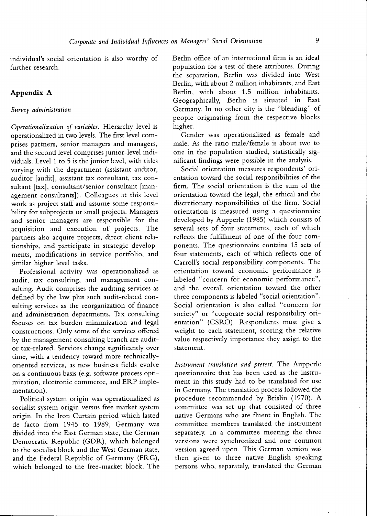individual's social orientation is also worthy of further research.

#### **Appendix A**

#### *Survey administration*

*Operationalization of variables.* Hierarchy level is operationalized in two levels. The first level comprises partners, senior managers and managers, and the second level comprises junior-level individuals. Level 1 to 5 is the junior level, with titles varying with the department (assistant auditor, auditor [audit], assistant tax consultant, tax consultant [tax], consultant/senior consultant [management consultants]). Colleagues at this level work as project staff and assume some responsibility for subprojects or small projects. Managers and senior managers are responsible for the acquisition and execution of projects. The partners also acquire projects, direct client relationships, and participate in strategic developments, modifications in service portfolio, and similar higher level tasks.

Professional activity was operationalized as audit, tax consulting, and management consulting. Audit comprises the auditing services as defined by the law plus such audit-related consulting services as the reorganization of finance and administration departments. Tax consulting focuses on tax burden minimization and legal constructions. Only some of the services offered by the management consulting branch are auditor tax-related. Services cbange significantly over time, with a tendency toward more technicallyoriented services, as new business fields evolve on a continuous basis (e.g. software process optimization, electronic commerce, and ERP implementation).

Political system origin was operationalized as socialist system origin versus free market system origin. In the Iron Curtain period which lasted de facto from 1945 to 1989, Germany was divided into the East German state, the German Democratic Republic (GDR), which belonged to the socialist block and the West German state, and the Federal Republic of Germany (FRG), which belonged to the free-market block. The Berlin office of an international firm is an ideal population for a test of these attributes. During the separation, Berlin was divided into West Berlin, with about 2 million inhabitants, and East Berlin, with about 1.5 million inhabitants. Geographically, Berlin is situated in East Germany. In no other city is the "blending" of people originating from the respective blocks higher.

Gender was operationalized as female and male. As the ratio male/female is about two to one in the population studied, statistically significant findings were possible in the analysis.

Social orientation measures respondents' orientation toward the social responsibilities of the firm. The social orientation is the sum of the orientation toward the legal, the ethical and the discretionary responsibilities of the firm. Social orientation is measured using a questionnaire developed by Aupperle (1985) which consists of several sets of four statements, each of which reflects the fulfillment of one of the four components. The questionnaire contains 15 sets of four statements, each of whicb reflects one of Carroll's social responsibility components. The orientation toward economic performance is labeled "concern for economic performance", and the overall orientation toward the other three components is labeled "social orientation". Social orientation is also called "concern for society" or "corporate social responsibility orientation" (CSRO). Respondents must give a weight to each statement, scoring the relative value respectively importance they assign to the statement.

*Instrument translation and pretest.* The Aupperle questionnaire that has been used as the instrument in this study had to be translated for use in Germany. The translation process followed tbe procedure recommended by Brislin (1970). A committee was set up that consisted of three native Germans who are fiuent in English. Tbe committee members translated the instrument separately. In a committee meeting the three versions were synchronized and one common version agreed upon. This German version was then given to three native English speaking persons who, separately, translated the German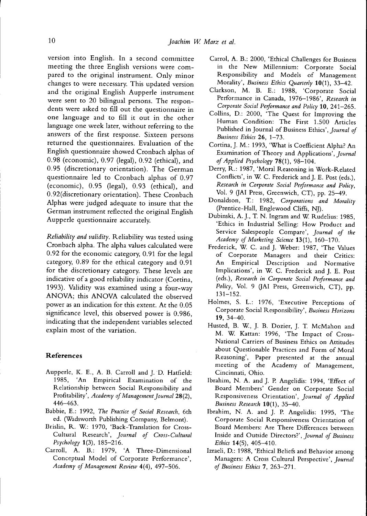version into English. In a second committee meeting the three English versions were compared to the original instrument. Only minor changes to were necessary. This updated version and the original English Aupperle instrument were sent to 20 bilingual persons. The respondents were asked to fill out the questionnaire in one language and to fill it out in the other language one week later, without referring to the answers of the first response. Sixteen persons returned the questionnaires. Evaluation of the English questionnaire showed Cronbach alphas of 0.98 (economic), 0.97 (legal), 0.92 (ethical), and 0.95 (discretionary orientation). The German questionnaire led to Cronbach alphas of 0.97 (economic), 0.95 (legal), 0.93 (ethical), and 0.92(discretionary orientation). These Cronbach Alphas were judged adequate to insure that the German instrument reflected the original English Aupperle questionnaire accurately.

*Reliability and validity.* Reliability was tested using Cronbach alpha. The alpha values calculated were 0.92 for the economic category, 0.91 for the legal category, 0.89 for the ethical category and 0.91 for the discretionary category. These levels are indicative of a good reliability indicator (Cortina, 1993). Validity was examined using a four-way ANOVA; this ANOVA calculated the observed power as an indication for this extent. At the 0.05 significance level, this observed power is 0.986, indicating that the independent variables selected explain most of the variation.

#### **References**

- Aupperle, K. E., A. B. Carroll and J. D. Hatfield: 1985, 'An Empirical Examination of the Relationship between Social Responsihility and Profitability', *Academy of Management Journal* 28(2), 446-463.
- Babhie, E.: 1992, *The Practice of Social Research,* 6th ed. (Wadsworth Publishing Company, Belmont).
- Brislin, R. W.: 1970, 'Back-Translation for Cross-Cultural Research', *Journal of Cross-Cultural Psychology* 1(3), 185-216.
- Carroll, A. B.: 1979, 'A Three-Dimensional Conceptual Model of Corporate Performance', *Academy of Management Review* 4(4), 497-506.
- Carrol, A. B.: 2000, 'Ethical Challenges for Business in the New Millennium: Corporate Social Responsihihty and Models of Management Morality', *Business Ethics Quarterly* 10(1), 33-42.
- Clarkson, M. B. E.: 1988, 'Corporate Social Performance in Canada, 1976-1986', *Research in Corporate Social Performance and Policy* 10, 241-265.
- Collins, D.: 2000, 'The Quest for Improving the Human Condition: The First 1.500 Articles Puhlished in Journal of Business Ethics', Jowrna/ *of Business Ethics* 26, 1-73.
- Cortina, J. M.: 1993, 'What is Coefficient Alpha? An Examination of Theory and *Applications', Journal of Applied Psychology* 78(1), 98-104.
- Derry, R.: 1987, 'Moral Reasoning in Work-Related Conflicts', in W. C. Frederick and J. E. Post (eds.), *Research in Corporate Social Performance and Policy,* Vol. 9 (JAI Press, Greenwich, CT), pp. 25-49.
- Donaldson, T.: 1982, *Corporations and Morality* (Prentice-Hall, Englewood Cliffs, NJ).
- Duhinski, A. J., T. N. Ingram and W Rudelius: 1985, 'Ethics in Industrial Selling: How Product and Service Salespeople Compare', *Journal of the Academy of Marketing Science* 13(1), 160-170.
- Frederick, W. C. and J. Weber: 1987, 'The Values of Corporate Managers and their Critics: An Empirical Description and Normative Implications', in W. C. Frederick and J. E. Post (eds.). *Research in Corporate Social Performance and Policy,* Vol. 9 (JAI Press, Greenwich, CT), pp. 131-152.
- Holmes, S. L.: 1976, 'Executive Perceptions of Corporate Social Responsibility', *Business Horizons* 19, 34-40.
- Husted, B. W., J. B. Dozier, J. T. McMahon and M. W. Kattan: 1996, 'The Impact of Cross-National Carriers of Business Ethics on Attitudes ahout Questionable Practices and Form of Moral Reasoning', Paper presented at the annual meeting of the Academy of Management, Cincinnati, Ohio.
- Ibrahim, N. A. and J. P. Angelidis: 1994, 'Effect of Board Members' Gender on Corporate Social Responsiveness Orientation', *Journal of Applied Business Research* 10(1), 35-40.
- Ibrahim, N. A. and J. P. Angelidis: 1995, 'The Corporate Social Responsiveness Orientation of Board Members: Are There Differences between Inside and Outside Directors?', Jowrna/ *of Business Ethics* 14(5), 405-410.
- Izraeli, D: 1988, 'Ethical Beliefs and Behavior among Managers: A Cross Cultural Perspective', *Journal of Business Ethics 7,* 263-271.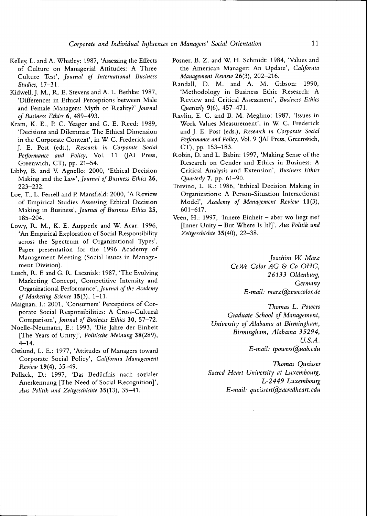- Kelley, L. and A. Whatley: 1987, 'Assessing the Effects of Culture on Managerial Attitudes: A Three Culture Test', *Journal of International Business Studies,* 17-31.
- Kidwell, J. M., R. E. Stevens and A. L. Bethke: 1987, 'Differences in Ethical Perceptions between Male and Female Managers: Myth or Reality?' *Journal of Business Ethics* 6, 489-493.
- Kram, K. E., R C. Yeager and G. E. Reed: 1989, 'Decisions and Dilemmas: The Ethical Dimension in the Corporate Context', in W. C. Frederick and J. E. Post (eds.). *Research in Corporate Social Performance and Policy,* Vol. 11 (JAI Press, Greenwich, CT), pp. 21-54.
- Libhy, B. and V. Agnello: 2000, 'Ethical Decision Making and the *Law', Journal of Business Ethics* 26, 223-232.
- Loe, T., L. Ferrell and P. Mansfield: 2000, 'A Review of Empirical Studies Assessing Ethical Decision Making in Business', Journal of Business Ethics 25, 185-204.
- Lowy, R. M., K. E. Aupperle and W. Acar: 1996, 'An Empirical Exploration of Social Responsihility across the Spectrum of Organizational Types', Paper presentation for the 1996 Academy of Management Meeting (Social Issues in Management Division).
- Lusch, R. E and G. R. Laczniak: 1987, 'The Evolving Marketing Concept, Competitive Intensity and Organizational Performance', *Journal of the Academy of Marketing Science* 15(3), 1—11.
- Maignan, I.: 2001, 'Consumers' Perceptions of Corporate Social Responsibilities: A Cross-Cultural Comparison', Jowma/ *of Business Ethics* 30, 57—72.
- Noelle-Neumann, E.: 1993, 'Die Jahre der Einheit [The Years of Unity]', *Politische Meinung* 38(289),  $4 - 14.$
- Ostlund, L. E.: 1977, 'Attitudes of Managers toward Corporate Social Policy', *California Management Review* 19(4), 35-49.
- Pollack, D.: 1997, 'Das Bedurfnis nach sozialer Anerkennung [The Need of Social Recognition]', *Aus Politik und Zeitgeschichte* 35(13), 35-41.
- Posner, B. Z. and W. H. Schmidt: 1984, 'Values and the American Manager: An Update', *California Management Review* 26(3), 202—216.
- Randall, D. M. and A. M. Gibson: 1990, 'Methodology in Business Ethic Research: A Review and Critical Assessment', *Business Ethics Quarterly* 9(6), 457-471.
- Ravlin, E. C. and B. M. Meglino: 1987, 'Issues in Work Values Measurement', in W. C. Frederick and J. E. Post (eds.). *Research in Corporate Social Performance and Policy,* Vol. 9 (JAI Press, Greenwich, CT), pp. 153-183.
- Rohin, D. and L. Bahin: 1997, 'Making Sense of the Research on Gender and Ethics in Business: A Critical Analysis and Extension', *Business Ethics Quarterly* 7, pp. 61-90.
- Trevino, L. K.: 1986, 'Ethical Decision Making in Organizations: A Person-Situation Interactionist Model', *Academy of Management Review* 11(3), 601-617.
- Veen, H.: 1997, 'Innere Einheit aber wo liegt sie? [Inner Unity - But Where Is It?]', *Aus Politik und Zeitgeschichte* 35(40), 22-38.

*Joachim W. Marz CeWe Color AG & Co OHC, 26133 Oldenburg, Cermany E-mail: marz@cewecolor.de*

*Thomas L. Powers Craduate School of Management, University of Alabama at Birmingham, Birmingham, Alabama 35294, U.S.A. E-mail: tpowers@uab.edu*

*Thomas Queisser Sacred Heart University at Luxembourg, L-2449 Luxembourg E-mail: queissert@sacredheart.edu*